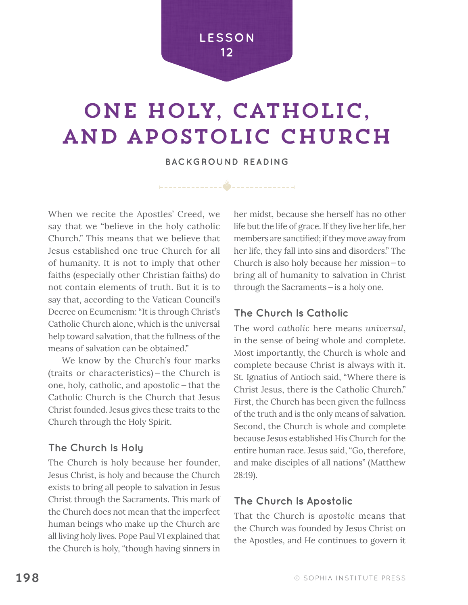

**LESSON 12**

**BACKGROUND READING**

When we recite the Apostles' Creed, we say that we "believe in the holy catholic Church." This means that we believe that Jesus established one true Church for all of humanity. It is not to imply that other faiths (especially other Christian faiths) do not contain elements of truth. But it is to say that, according to the Vatican Council's Decree on Ecumenism: "It is through Christ's Catholic Church alone, which is the universal help toward salvation, that the fullness of the means of salvation can be obtained."

We know by the Church's four marks (traits or characteristics) — the Church is one, holy, catholic, and apostolic —that the Catholic Church is the Church that Jesus Christ founded. Jesus gives these traits to the Church through the Holy Spirit.

#### **The Church Is Holy**

The Church is holy because her founder, Jesus Christ, is holy and because the Church exists to bring all people to salvation in Jesus Christ through the Sacraments. This mark of the Church does not mean that the imperfect human beings who make up the Church are all living holy lives. Pope Paul VI explained that the Church is holy, "though having sinners in her midst, because she herself has no other life but the life of grace. If they live her life, her members are sanctified; if they move away from her life, they fall into sins and disorders." The Church is also holy because her mission—to bring all of humanity to salvation in Christ through the Sacraments—is a holy one.

#### **The Church Is Catholic**

The word *catholic* here means *universal*, in the sense of being whole and complete. Most importantly, the Church is whole and complete because Christ is always with it. St. Ignatius of Antioch said, "Where there is Christ Jesus, there is the Catholic Church." First, the Church has been given the fullness of the truth and is the only means of salvation. Second, the Church is whole and complete because Jesus established His Church for the entire human race. Jesus said, "Go, therefore, and make disciples of all nations" (Matthew 28:19).

# **The Church Is Apostolic**

That the Church is *apostolic* means that the Church was founded by Jesus Christ on the Apostles, and He continues to govern it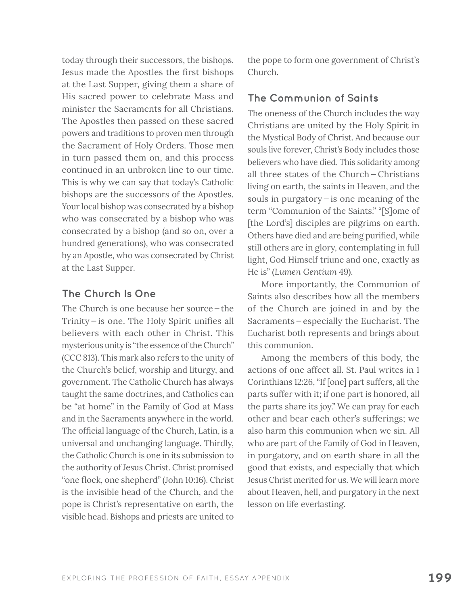today through their successors, the bishops. Jesus made the Apostles the first bishops at the Last Supper, giving them a share of His sacred power to celebrate Mass and minister the Sacraments for all Christians. The Apostles then passed on these sacred powers and traditions to proven men through the Sacrament of Holy Orders. Those men in turn passed them on, and this process continued in an unbroken line to our time. This is why we can say that today's Catholic bishops are the successors of the Apostles. Your local bishop was consecrated by a bishop who was consecrated by a bishop who was consecrated by a bishop (and so on, over a hundred generations), who was consecrated by an Apostle, who was consecrated by Christ at the Last Supper.

# **The Church Is One**

The Church is one because her source—the Trinity — is one. The Holy Spirit unifies all believers with each other in Christ. This mysterious unity is "the essence of the Church" (CCC 813). This mark also refers to the unity of the Church's belief, worship and liturgy, and government. The Catholic Church has always taught the same doctrines, and Catholics can be "at home" in the Family of God at Mass and in the Sacraments anywhere in the world. The official language of the Church, Latin, is a universal and unchanging language. Thirdly, the Catholic Church is one in its submission to the authority of Jesus Christ. Christ promised "one flock, one shepherd" (John 10:16). Christ is the invisible head of the Church, and the pope is Christ's representative on earth, the visible head. Bishops and priests are united to

the pope to form one government of Christ's Church.

### **The Communion of Saints**

The oneness of the Church includes the way Christians are united by the Holy Spirit in the Mystical Body of Christ. And because our souls live forever, Christ's Body includes those believers who have died. This solidarity among all three states of the Church — Christians living on earth, the saints in Heaven, and the souls in purgatory—is one meaning of the term "Communion of the Saints." "[S]ome of [the Lord's] disciples are pilgrims on earth. Others have died and are being purified, while still others are in glory, contemplating in full light, God Himself triune and one, exactly as He is" (*Lumen Gentium* 49).

More importantly, the Communion of Saints also describes how all the members of the Church are joined in and by the Sacraments—especially the Eucharist. The Eucharist both represents and brings about this communion.

Among the members of this body, the actions of one affect all. St. Paul writes in 1 Corinthians 12:26, "If [one] part suffers, all the parts suffer with it; if one part is honored, all the parts share its joy." We can pray for each other and bear each other's sufferings; we also harm this communion when we sin. All who are part of the Family of God in Heaven, in purgatory, and on earth share in all the good that exists, and especially that which Jesus Christ merited for us. We will learn more about Heaven, hell, and purgatory in the next lesson on life everlasting.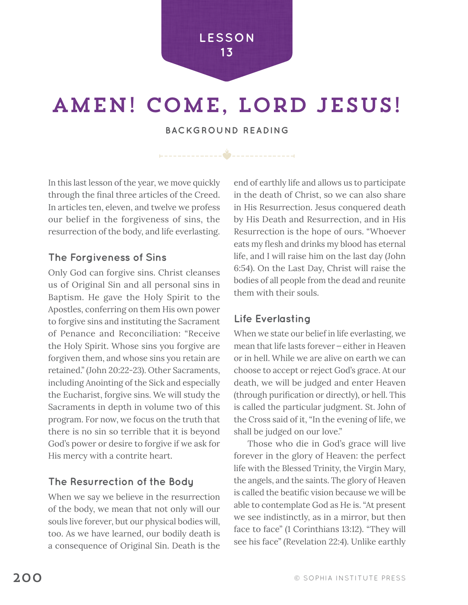# AMEN! COME, LORD JESUS!

#### **BACKGROUND READING**

In this last lesson of the year, we move quickly through the final three articles of the Creed. In articles ten, eleven, and twelve we profess our belief in the forgiveness of sins, the resurrection of the body, and life everlasting.

# **The Forgiveness of Sins**

Only God can forgive sins. Christ cleanses us of Original Sin and all personal sins in Baptism. He gave the Holy Spirit to the Apostles, conferring on them His own power to forgive sins and instituting the Sacrament of Penance and Reconciliation: "Receive the Holy Spirit. Whose sins you forgive are forgiven them, and whose sins you retain are retained." (John 20:22-23). Other Sacraments, including Anointing of the Sick and especially the Eucharist, forgive sins. We will study the Sacraments in depth in volume two of this program. For now, we focus on the truth that there is no sin so terrible that it is beyond God's power or desire to forgive if we ask for His mercy with a contrite heart.

# **The Resurrection of the Body**

When we say we believe in the resurrection of the body, we mean that not only will our souls live forever, but our physical bodies will, too. As we have learned, our bodily death is a consequence of Original Sin. Death is the end of earthly life and allows us to participate in the death of Christ, so we can also share in His Resurrection. Jesus conquered death by His Death and Resurrection, and in His Resurrection is the hope of ours. "Whoever eats my flesh and drinks my blood has eternal life, and I will raise him on the last day (John 6:54). On the Last Day, Christ will raise the bodies of all people from the dead and reunite them with their souls.

# **Life Everlasting**

When we state our belief in life everlasting, we mean that life lasts forever—either in Heaven or in hell. While we are alive on earth we can choose to accept or reject God's grace. At our death, we will be judged and enter Heaven (through purification or directly), or hell. This is called the particular judgment. St. John of the Cross said of it, "In the evening of life, we shall be judged on our love."

Those who die in God's grace will live forever in the glory of Heaven: the perfect life with the Blessed Trinity, the Virgin Mary, the angels, and the saints. The glory of Heaven is called the beatific vision because we will be able to contemplate God as He is. "At present we see indistinctly, as in a mirror, but then face to face" (1 Corinthians 13:12). "They will see his face" (Revelation 22:4). Unlike earthly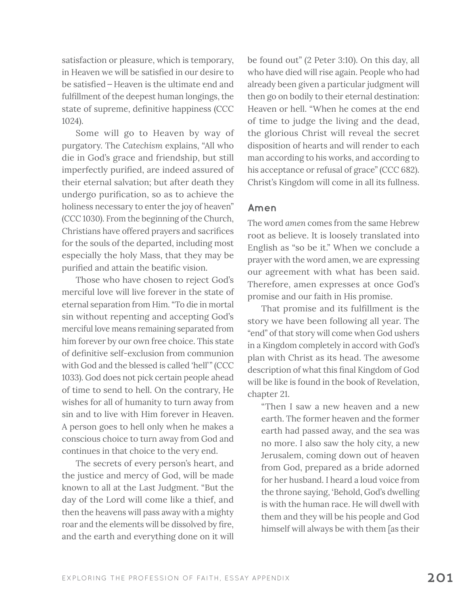satisfaction or pleasure, which is temporary, in Heaven we will be satisfied in our desire to be satisfied—Heaven is the ultimate end and fulfillment of the deepest human longings, the state of supreme, definitive happiness (CCC 1024).

Some will go to Heaven by way of purgatory. The *Catechism* explains, "All who die in God's grace and friendship, but still imperfectly purified, are indeed assured of their eternal salvation; but after death they undergo purification, so as to achieve the holiness necessary to enter the joy of heaven" (CCC 1030). From the beginning of the Church, Christians have offered prayers and sacrifices for the souls of the departed, including most especially the holy Mass, that they may be purified and attain the beatific vision.

Those who have chosen to reject God's merciful love will live forever in the state of eternal separation from Him. "To die in mortal sin without repenting and accepting God's merciful love means remaining separated from him forever by our own free choice. This state of definitive self-exclusion from communion with God and the blessed is called 'hell'" (CCC 1033). God does not pick certain people ahead of time to send to hell. On the contrary, He wishes for all of humanity to turn away from sin and to live with Him forever in Heaven. A person goes to hell only when he makes a conscious choice to turn away from God and continues in that choice to the very end.

The secrets of every person's heart, and the justice and mercy of God, will be made known to all at the Last Judgment. "But the day of the Lord will come like a thief, and then the heavens will pass away with a mighty roar and the elements will be dissolved by fire, and the earth and everything done on it will be found out" (2 Peter 3:10). On this day, all who have died will rise again. People who had already been given a particular judgment will then go on bodily to their eternal destination: Heaven or hell. "When he comes at the end of time to judge the living and the dead, the glorious Christ will reveal the secret disposition of hearts and will render to each man according to his works, and according to his acceptance or refusal of grace" (CCC 682). Christ's Kingdom will come in all its fullness.

#### **Amen**

The word *amen* comes from the same Hebrew root as believe. It is loosely translated into English as "so be it." When we conclude a prayer with the word amen, we are expressing our agreement with what has been said. Therefore, amen expresses at once God's promise and our faith in His promise.

That promise and its fulfillment is the story we have been following all year. The "end" of that story will come when God ushers in a Kingdom completely in accord with God's plan with Christ as its head. The awesome description of what this final Kingdom of God will be like is found in the book of Revelation, chapter 21.

"Then I saw a new heaven and a new earth. The former heaven and the former earth had passed away, and the sea was no more. I also saw the holy city, a new Jerusalem, coming down out of heaven from God, prepared as a bride adorned for her husband. I heard a loud voice from the throne saying, 'Behold, God's dwelling is with the human race. He will dwell with them and they will be his people and God himself will always be with them [as their